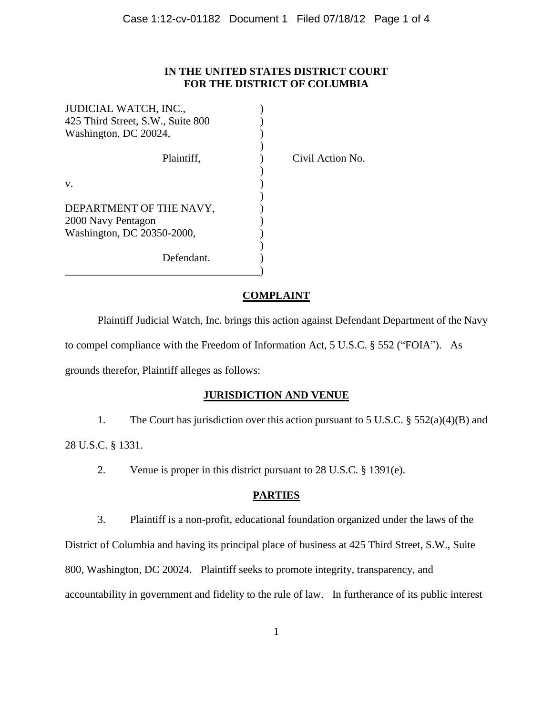### **IN THE UNITED STATES DISTRICT COURT FOR THE DISTRICT OF COLUMBIA**

| JUDICIAL WATCH, INC.,             |  |
|-----------------------------------|--|
| 425 Third Street, S.W., Suite 800 |  |
| Washington, DC 20024,             |  |
|                                   |  |
| Plaintiff.                        |  |
|                                   |  |
| V.                                |  |
|                                   |  |
| DEPARTMENT OF THE NAVY,           |  |
| 2000 Navy Pentagon                |  |
| Washington, DC 20350-2000,        |  |
|                                   |  |
| Defendant.                        |  |
|                                   |  |

Plaintiful Action No.

## **COMPLAINT**

Plaintiff Judicial Watch, Inc. brings this action against Defendant Department of the Navy to compel compliance with the Freedom of Information Act, 5 U.S.C. § 552 ("FOIA"). As grounds therefor, Plaintiff alleges as follows:

# **JURISDICTION AND VENUE**

1. The Court has jurisdiction over this action pursuant to 5 U.S.C. § 552(a)(4)(B) and 28 U.S.C. § 1331.

2. Venue is proper in this district pursuant to 28 U.S.C. § 1391(e).

# **PARTIES**

3. Plaintiff is a non-profit, educational foundation organized under the laws of the

District of Columbia and having its principal place of business at 425 Third Street, S.W., Suite

800, Washington, DC 20024. Plaintiff seeks to promote integrity, transparency, and

accountability in government and fidelity to the rule of law. In furtherance of its public interest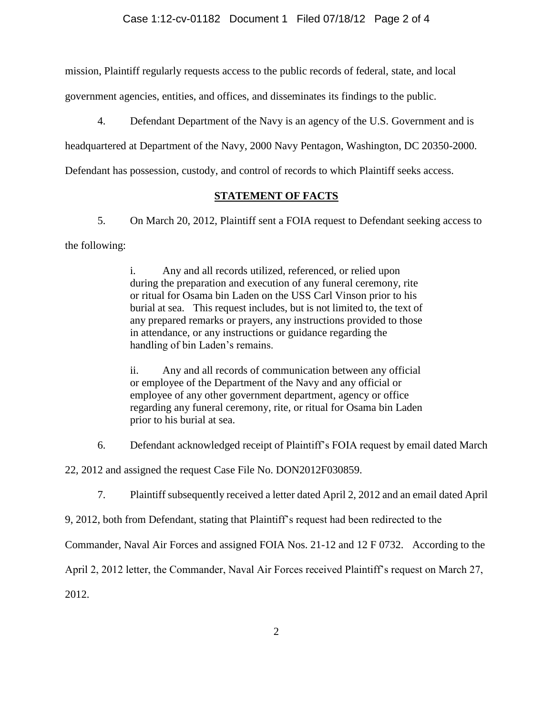mission, Plaintiff regularly requests access to the public records of federal, state, and local

government agencies, entities, and offices, and disseminates its findings to the public.

4. Defendant Department of the Navy is an agency of the U.S. Government and is

headquartered at Department of the Navy, 2000 Navy Pentagon, Washington, DC 20350-2000.

Defendant has possession, custody, and control of records to which Plaintiff seeks access.

## **STATEMENT OF FACTS**

5. On March 20, 2012, Plaintiff sent a FOIA request to Defendant seeking access to the following:

> i. Any and all records utilized, referenced, or relied upon during the preparation and execution of any funeral ceremony, rite or ritual for Osama bin Laden on the USS Carl Vinson prior to his burial at sea. This request includes, but is not limited to, the text of any prepared remarks or prayers, any instructions provided to those in attendance, or any instructions or guidance regarding the handling of bin Laden's remains.

> ii. Any and all records of communication between any official or employee of the Department of the Navy and any official or employee of any other government department, agency or office regarding any funeral ceremony, rite, or ritual for Osama bin Laden prior to his burial at sea.

6. Defendant acknowledged receipt of Plaintiff's FOIA request by email dated March

22, 2012 and assigned the request Case File No. DON2012F030859.

7. Plaintiff subsequently received a letter dated April 2, 2012 and an email dated April

9, 2012, both from Defendant, stating that Plaintiff's request had been redirected to the

Commander, Naval Air Forces and assigned FOIA Nos. 21-12 and 12 F 0732. According to the

April 2, 2012 letter, the Commander, Naval Air Forces received Plaintiff's request on March 27,

2012.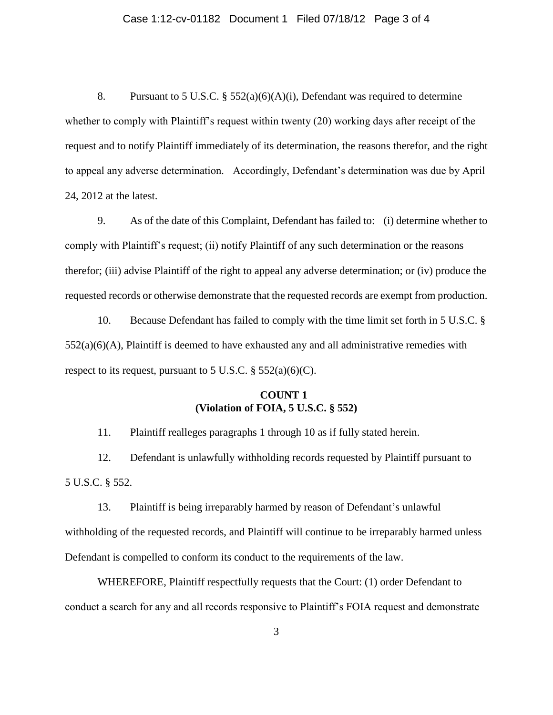### Case 1:12-cv-01182 Document 1 Filed 07/18/12 Page 3 of 4

8. Pursuant to 5 U.S.C. § 552(a)(6)(A)(i), Defendant was required to determine whether to comply with Plaintiff's request within twenty (20) working days after receipt of the request and to notify Plaintiff immediately of its determination, the reasons therefor, and the right to appeal any adverse determination. Accordingly, Defendant's determination was due by April 24, 2012 at the latest.

9. As of the date of this Complaint, Defendant has failed to: (i) determine whether to comply with Plaintiff's request; (ii) notify Plaintiff of any such determination or the reasons therefor; (iii) advise Plaintiff of the right to appeal any adverse determination; or (iv) produce the requested records or otherwise demonstrate that the requested records are exempt from production.

10. Because Defendant has failed to comply with the time limit set forth in 5 U.S.C. §  $552(a)(6)(A)$ , Plaintiff is deemed to have exhausted any and all administrative remedies with respect to its request, pursuant to 5 U.S.C.  $\S$  552(a)(6)(C).

### **COUNT 1 (Violation of FOIA, 5 U.S.C. § 552)**

11. Plaintiff realleges paragraphs 1 through 10 as if fully stated herein.

12. Defendant is unlawfully withholding records requested by Plaintiff pursuant to 5 U.S.C. § 552.

13. Plaintiff is being irreparably harmed by reason of Defendant's unlawful withholding of the requested records, and Plaintiff will continue to be irreparably harmed unless Defendant is compelled to conform its conduct to the requirements of the law.

WHEREFORE, Plaintiff respectfully requests that the Court: (1) order Defendant to conduct a search for any and all records responsive to Plaintiff's FOIA request and demonstrate